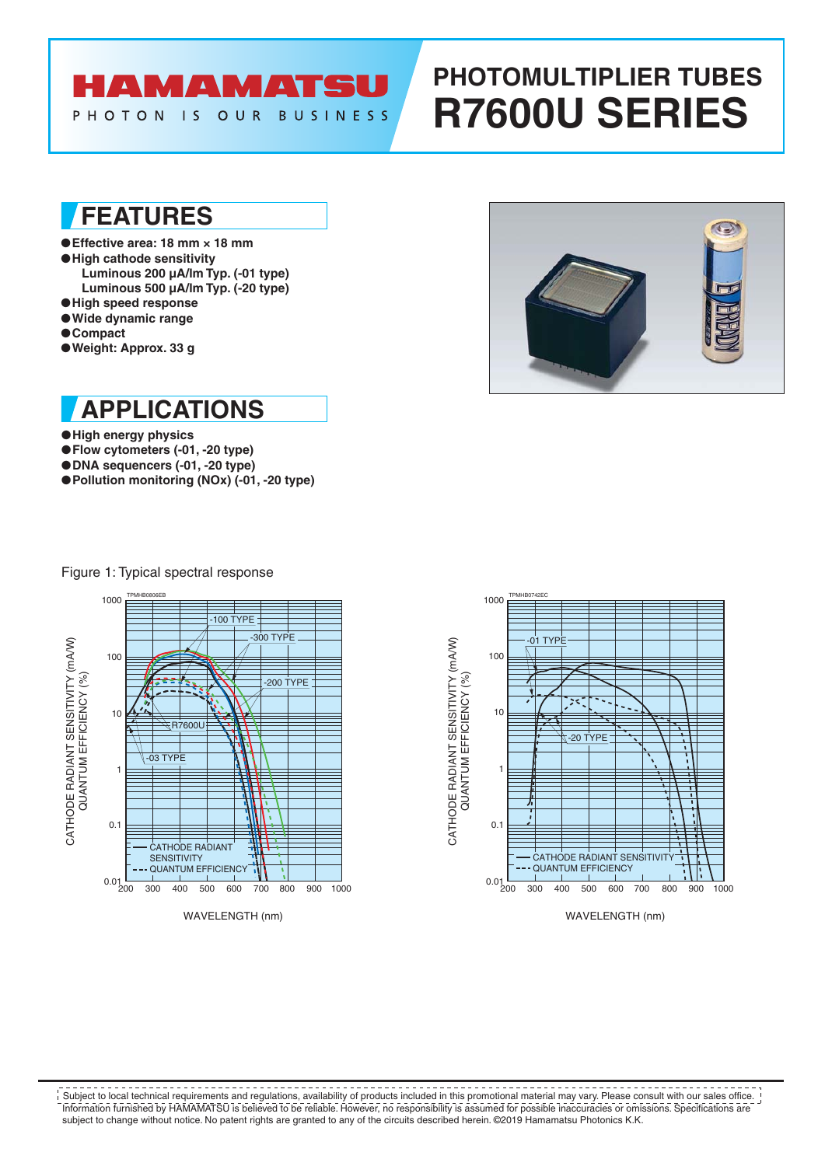# **AMAMATS**

#### PHOTON IS OUR BUSINESS

# **PHOTOMULTIPLIER TUBES R7600U SERIES**

## **FEATURES**

- ●**Effective area: 18 mm × 18 mm** ●**High cathode sensitivity Luminous 200 µA/lm Typ. (-01 type)**
- **Luminous 500 µA/lm Typ. (-20 type)**
- ●**High speed response**
- ●**Wide dynamic range**
- ●**Compact**
- ●**Weight: Approx. 33 g**



**APPLICATIONS**

- ●**High energy physics**
- ●**Flow cytometers (-01, -20 type)**
- ●**DNA sequencers (-01, -20 type)**
- ●**Pollution monitoring (NOx) (-01, -20 type)**

Figure 1: Typical spectral response





WAVELENGTH (nm)

Information furnished by HAMAMATSU is believed to be reliable. However, no responsibility is assumed for possible inaccuracies or omissions. Specifications are subject to change without notice. No patent rights are granted to any of the circuits described herein. ©2019 Hamamatsu Photonics K.K. Subject to local technical requirements and regulations, availability of products included in this promotional material may vary. Please consult with our sales office.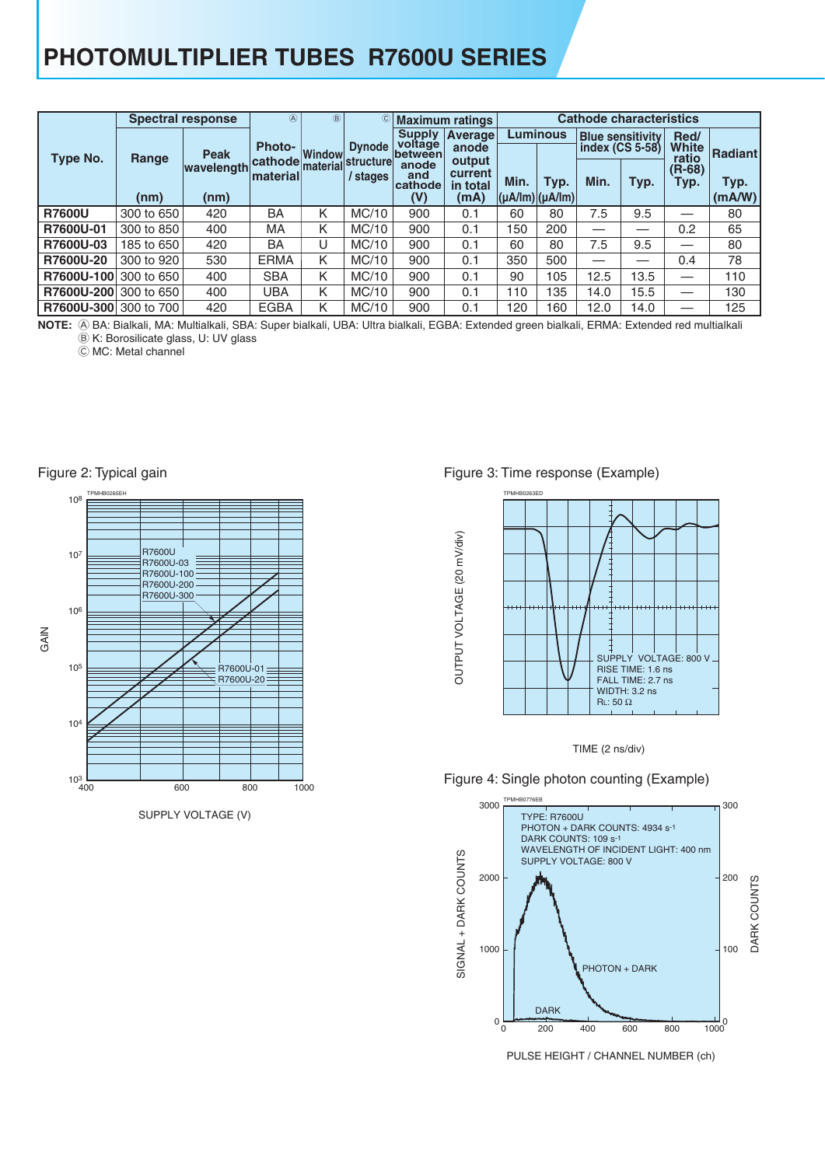## **PHOTOMULTIPLIER TUBES R7600U SERIES**

|               |            | <b>Spectral response</b> | $\circledA$                            | $\circledR$ |               |                                            | © Maximum ratings                     | <b>Cathode characteristics</b>        |                 |                                            |      |                               |                |  |  |
|---------------|------------|--------------------------|----------------------------------------|-------------|---------------|--------------------------------------------|---------------------------------------|---------------------------------------|-----------------|--------------------------------------------|------|-------------------------------|----------------|--|--|
| Type No.      | Range      | <b>Peak</b>              | <b>Photo-</b><br>Window                |             | <b>Dynode</b> | <b>Supply</b><br>voltage<br><b>between</b> | <b>Average</b><br>anode               |                                       | <b>Luminous</b> | <b>Blue sensitivity</b><br>index (CS 5-58) |      | Red/<br><b>White</b><br>ratio | Radiantl       |  |  |
|               | (nm)       | wavelength<br>(nm)       | cathode material structure<br>material |             | stages        | anode<br>and<br>cathode<br>(V)             | output<br>current<br>in total<br>(mA) | Min.<br>$(\mu A / Im)$ $(\mu A / Im)$ | Typ.            | Min.                                       | Typ. |                               | Typ.<br>(mA/W) |  |  |
| <b>R7600U</b> | 300 to 650 | 420                      | BA                                     | K           | MC/10         | 900                                        | 0.1                                   | 60                                    | 80              | 7.5                                        | 9.5  |                               | 80             |  |  |
| R7600U-01     | 300 to 850 | 400                      | МA                                     | K           | MC/10         | 900                                        | 0.1                                   | 150                                   | 200             |                                            |      | 0.2                           | 65             |  |  |
| R7600U-03     | 185 to 650 | 420                      | BA                                     | U           | MC/10         | 900                                        | 0.1                                   | 60                                    | 80              | 7.5                                        | 9.5  |                               | 80             |  |  |
| R7600U-20     | 300 to 920 | 530                      | <b>ERMA</b>                            | K           | MC/10         | 900                                        | 0.1                                   | 350                                   | 500             |                                            |      | 0.4                           | 78             |  |  |
| R7600U-100    | 300 to 650 | 400                      | <b>SBA</b>                             | K           | MC/10         | 900                                        | 0.1                                   | 90                                    | 105             | 12.5                                       | 13.5 |                               | 110            |  |  |
| R7600U-200    | 300 to 650 | 400                      | UBA                                    | K           | MC/10         | 900                                        | 0.1                                   | 110                                   | 135             | 14.0                                       | 15.5 | __                            | 130            |  |  |
| R7600U-300    | 300 to 700 | 420                      | <b>EGBA</b>                            | K           | MC/10         | 900                                        | 0.1                                   | 120                                   | 160             | 12.0                                       | 14.0 |                               | 125            |  |  |

A BA: Bialkali, MA: Multialkali, SBA: Super bialkali, UBA: Ultra bialkali, EGBA: Extended green bialkali, ERMA: Extended red multialkali **NOTE:** B K: Borosilicate glass, U: UV glass

C MC: Metal channel



SUPPLY VOLTAGE (V)

#### Figure 3: Time response (Example)





#### Figure 4: Single photon counting (Example)

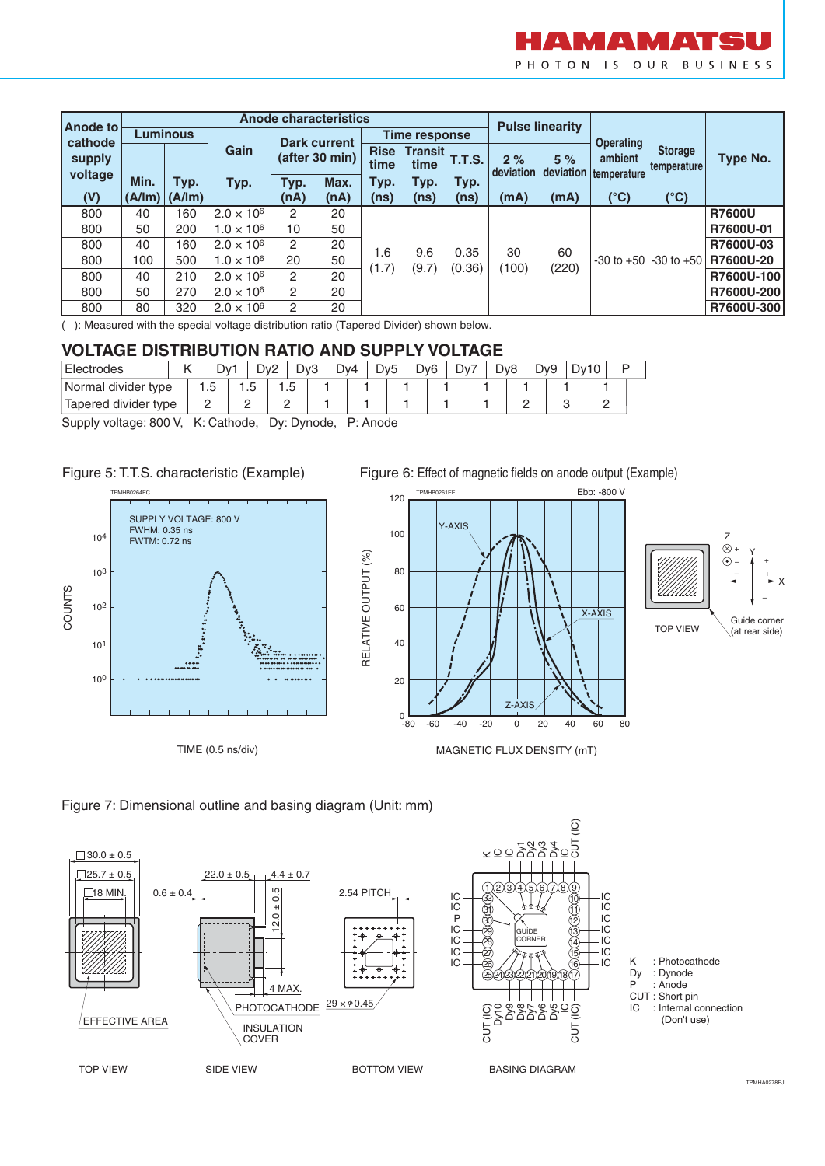

| <b>Anode to</b> |                 |                   |                     |                     | <b>Anode characteristics</b>         |                     | <b>Pulse linearity</b> |               |                 |                 |                  |                               |               |
|-----------------|-----------------|-------------------|---------------------|---------------------|--------------------------------------|---------------------|------------------------|---------------|-----------------|-----------------|------------------|-------------------------------|---------------|
| cathode         | <b>Luminous</b> |                   |                     | <b>Dark current</b> |                                      | Time response       |                        |               |                 |                 | <b>Operating</b> |                               |               |
| supply          |                 |                   | Gain                | (after 30 min)      |                                      | <b>Rise</b><br>time | Transit<br>time        | <b>T.T.S.</b> | 2%<br>deviation | 5%<br>deviation | ambient          | <b>Storage</b><br>temperature | Type No.      |
| voltage         | Min.            | Typ.              | Typ.                | Typ.                | Max.                                 | Typ.                | Typ.                   | Typ.          |                 |                 | temperature      |                               |               |
| (V)             |                 | $(A/Im)$ $(A/Im)$ |                     | (nA)                | (nA)                                 | (ns)                | (ns)                   | (ns)          | (mA)            | (mA)            | (°C)             | (°C)                          |               |
| 800             | 40              | 160               | $2.0 \times 10^{6}$ | $\overline{2}$      | 20                                   |                     |                        |               |                 |                 |                  |                               | <b>R7600U</b> |
| 800             | 50              | 200               | $1.0 \times 10^{6}$ | 10                  | 50<br>20<br>1.6<br>50<br>(1.7)<br>20 |                     |                        |               | 60              |                 |                  | R7600U-01                     |               |
| 800             | 40              | 160               | $2.0 \times 10^{6}$ | $\overline{2}$      |                                      | 9.6                 | 0.35                   | 30            |                 |                 |                  | R7600U-03                     |               |
| 800             | 100             | 500               | $1.0 \times 10^{6}$ | 20                  |                                      |                     | (9.7)                  | (0.36)        | (100)           | (220)           | $-30$ to $+50$   | $-30$ to $+50$                | R7600U-20     |
| 800             | 40              | 210               | $2.0 \times 10^{6}$ | $\overline{2}$      |                                      |                     |                        |               |                 |                 |                  | R7600U-100                    |               |
| 800             | 50              | 270               | $2.0 \times 10^{6}$ | $\mathcal{P}$       | 20                                   |                     |                        |               |                 |                 |                  |                               | R7600U-200    |
| 800             | 80              | 320               | $2.0 \times 10^{6}$ | $\overline{2}$      | 20                                   |                     |                        |               |                 |                 |                  |                               | R7600U-300    |

( ): Measured with the special voltage distribution ratio (Tapered Divider) shown below.

#### **VOLTAGE DISTRIBUTION RATIO AND SUPPLY VOLTAGE**

| Electrodes           |  |     | D۷ |   | Dv2 |     | Dv3 | Dv4 | Dv5 | D <sub>v</sub> 6 | Dv7 | Dv8 | D <sub>v9</sub> | Dv* |  |  |
|----------------------|--|-----|----|---|-----|-----|-----|-----|-----|------------------|-----|-----|-----------------|-----|--|--|
| Normal divider type  |  | ں ، |    | ٠ |     | ں ، |     |     |     |                  |     |     |                 |     |  |  |
| Tapered divider type |  |     |    |   |     |     |     |     |     |                  |     |     |                 |     |  |  |

RELATIVE OUTPUT (%)

RELATIVE OUTPUT (%)

Supply voltage: 800 V, K: Cathode, Dy: Dynode, P: Anode





TIME (0.5 ns/div)

Figure 6: Effect of magnetic fields on anode output (Example)





Figure 7: Dimensional outline and basing diagram (Unit: mm)